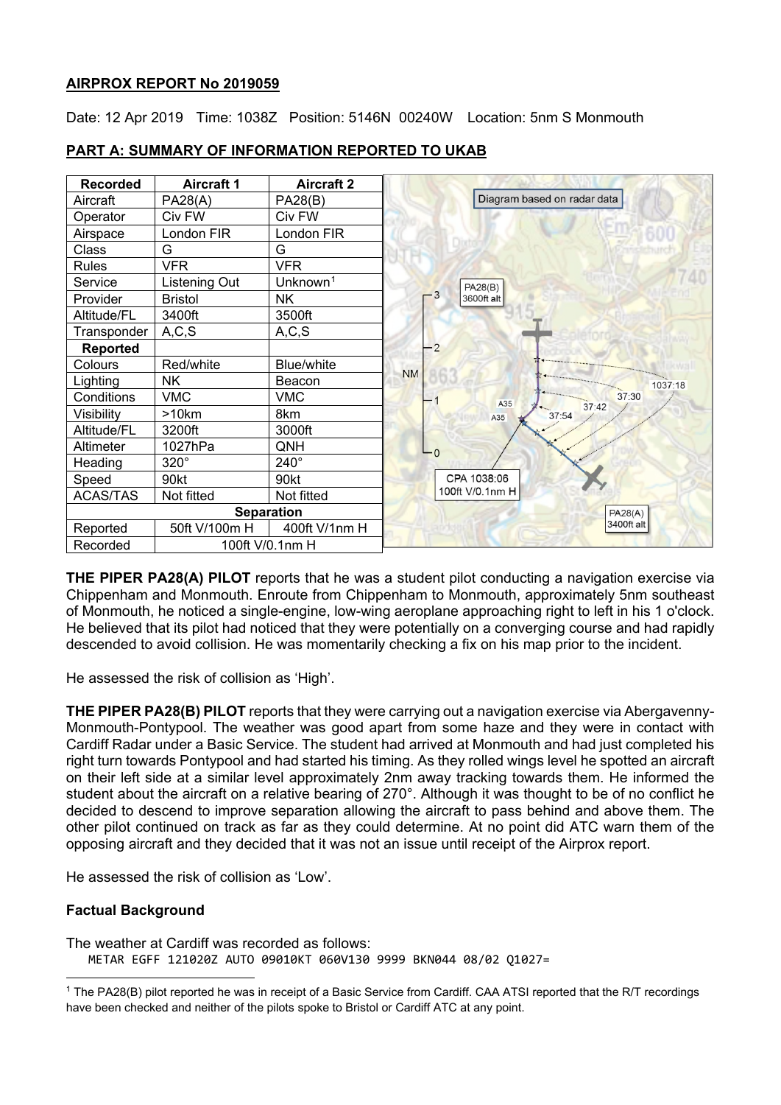#### **AIRPROX REPORT No 2019059**

Date: 12 Apr 2019 Time: 1038Z Position: 5146N 00240W Location: 5nm S Monmouth



### **PART A: SUMMARY OF INFORMATION REPORTED TO UKAB**

**THE PIPER PA28(A) PILOT** reports that he was a student pilot conducting a navigation exercise via Chippenham and Monmouth. Enroute from Chippenham to Monmouth, approximately 5nm southeast of Monmouth, he noticed a single-engine, low-wing aeroplane approaching right to left in his 1 o'clock. He believed that its pilot had noticed that they were potentially on a converging course and had rapidly descended to avoid collision. He was momentarily checking a fix on his map prior to the incident.

He assessed the risk of collision as 'High'.

**THE PIPER PA28(B) PILOT** reports that they were carrying out a navigation exercise via Abergavenny-Monmouth-Pontypool. The weather was good apart from some haze and they were in contact with Cardiff Radar under a Basic Service. The student had arrived at Monmouth and had just completed his right turn towards Pontypool and had started his timing. As they rolled wings level he spotted an aircraft on their left side at a similar level approximately 2nm away tracking towards them. He informed the student about the aircraft on a relative bearing of 270°. Although it was thought to be of no conflict he decided to descend to improve separation allowing the aircraft to pass behind and above them. The other pilot continued on track as far as they could determine. At no point did ATC warn them of the opposing aircraft and they decided that it was not an issue until receipt of the Airprox report.

He assessed the risk of collision as 'Low'.

### **Factual Background**

The weather at Cardiff was recorded as follows: METAR EGFF 121020Z AUTO 09010KT 060V130 9999 BKN044 08/02 Q1027=

<span id="page-0-0"></span> $\overline{a}$ <sup>1</sup> The PA28(B) pilot reported he was in receipt of a Basic Service from Cardiff. CAA ATSI reported that the R/T recordings have been checked and neither of the pilots spoke to Bristol or Cardiff ATC at any point.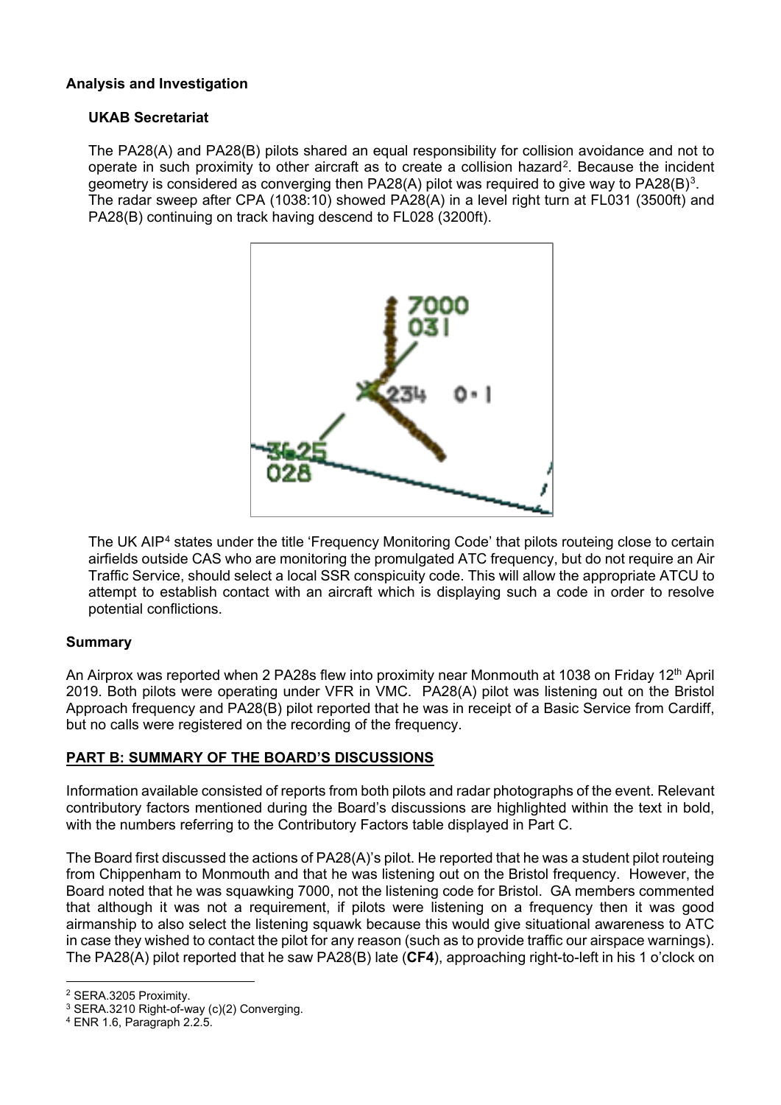## **Analysis and Investigation**

## **UKAB Secretariat**

The PA28(A) and PA28(B) pilots shared an equal responsibility for collision avoidance and not to operate in such proximity to other aircraft as to create a collision hazard<sup>[2](#page-1-0)</sup>. Because the incident geometry is considered as converging then PA28(A) pilot was required to give way to PA28(B)<sup>[3](#page-1-1)</sup>. The radar sweep after CPA (1038:10) showed PA28(A) in a level right turn at FL031 (3500ft) and PA28(B) continuing on track having descend to FL028 (3200ft).



The UK AIP[4](#page-1-2) states under the title 'Frequency Monitoring Code' that pilots routeing close to certain airfields outside CAS who are monitoring the promulgated ATC frequency, but do not require an Air Traffic Service, should select a local SSR conspicuity code. This will allow the appropriate ATCU to attempt to establish contact with an aircraft which is displaying such a code in order to resolve potential conflictions.

### **Summary**

An Airprox was reported when 2 PA28s flew into proximity near Monmouth at 1038 on Friday 12<sup>th</sup> April 2019. Both pilots were operating under VFR in VMC. PA28(A) pilot was listening out on the Bristol Approach frequency and PA28(B) pilot reported that he was in receipt of a Basic Service from Cardiff, but no calls were registered on the recording of the frequency.

# **PART B: SUMMARY OF THE BOARD'S DISCUSSIONS**

Information available consisted of reports from both pilots and radar photographs of the event. Relevant contributory factors mentioned during the Board's discussions are highlighted within the text in bold, with the numbers referring to the Contributory Factors table displayed in Part C.

The Board first discussed the actions of PA28(A)'s pilot. He reported that he was a student pilot routeing from Chippenham to Monmouth and that he was listening out on the Bristol frequency. However, the Board noted that he was squawking 7000, not the listening code for Bristol. GA members commented that although it was not a requirement, if pilots were listening on a frequency then it was good airmanship to also select the listening squawk because this would give situational awareness to ATC in case they wished to contact the pilot for any reason (such as to provide traffic our airspace warnings). The PA28(A) pilot reported that he saw PA28(B) late (**CF4**), approaching right-to-left in his 1 o'clock on

 $\overline{a}$ <sup>2</sup> SERA.3205 Proximity.

<span id="page-1-1"></span><span id="page-1-0"></span><sup>&</sup>lt;sup>3</sup> SERA.3210 Right-of-way (c)(2) Converging.

<span id="page-1-2"></span><sup>4</sup> ENR 1.6, Paragraph 2.2.5.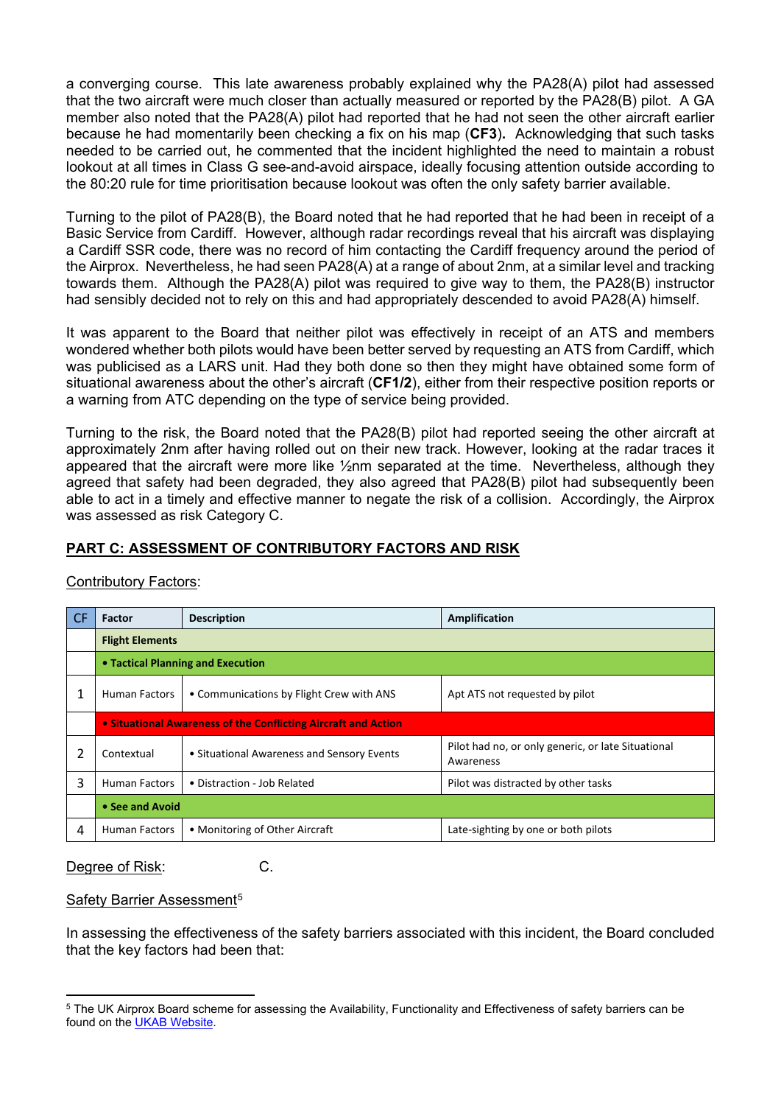a converging course. This late awareness probably explained why the PA28(A) pilot had assessed that the two aircraft were much closer than actually measured or reported by the PA28(B) pilot. A GA member also noted that the PA28(A) pilot had reported that he had not seen the other aircraft earlier because he had momentarily been checking a fix on his map (**CF3**)**.** Acknowledging that such tasks needed to be carried out, he commented that the incident highlighted the need to maintain a robust lookout at all times in Class G see-and-avoid airspace, ideally focusing attention outside according to the 80:20 rule for time prioritisation because lookout was often the only safety barrier available.

Turning to the pilot of PA28(B), the Board noted that he had reported that he had been in receipt of a Basic Service from Cardiff. However, although radar recordings reveal that his aircraft was displaying a Cardiff SSR code, there was no record of him contacting the Cardiff frequency around the period of the Airprox. Nevertheless, he had seen PA28(A) at a range of about 2nm, at a similar level and tracking towards them. Although the PA28(A) pilot was required to give way to them, the PA28(B) instructor had sensibly decided not to rely on this and had appropriately descended to avoid PA28(A) himself.

It was apparent to the Board that neither pilot was effectively in receipt of an ATS and members wondered whether both pilots would have been better served by requesting an ATS from Cardiff, which was publicised as a LARS unit. Had they both done so then they might have obtained some form of situational awareness about the other's aircraft (**CF1/2**), either from their respective position reports or a warning from ATC depending on the type of service being provided.

Turning to the risk, the Board noted that the PA28(B) pilot had reported seeing the other aircraft at approximately 2nm after having rolled out on their new track. However, looking at the radar traces it appeared that the aircraft were more like 1/2nm separated at the time. Nevertheless, although they agreed that safety had been degraded, they also agreed that PA28(B) pilot had subsequently been able to act in a timely and effective manner to negate the risk of a collision. Accordingly, the Airprox was assessed as risk Category C.

## **PART C: ASSESSMENT OF CONTRIBUTORY FACTORS AND RISK**

| <b>CF</b> | Factor                                                         | <b>Description</b>                         | Amplification                                                   |  |  |  |  |  |
|-----------|----------------------------------------------------------------|--------------------------------------------|-----------------------------------------------------------------|--|--|--|--|--|
|           | <b>Flight Elements</b>                                         |                                            |                                                                 |  |  |  |  |  |
|           | • Tactical Planning and Execution                              |                                            |                                                                 |  |  |  |  |  |
|           | <b>Human Factors</b>                                           | • Communications by Flight Crew with ANS   | Apt ATS not requested by pilot                                  |  |  |  |  |  |
|           | • Situational Awareness of the Conflicting Aircraft and Action |                                            |                                                                 |  |  |  |  |  |
| 2         | Contextual                                                     | • Situational Awareness and Sensory Events | Pilot had no, or only generic, or late Situational<br>Awareness |  |  |  |  |  |
| 3         | <b>Human Factors</b>                                           | • Distraction - Job Related                | Pilot was distracted by other tasks                             |  |  |  |  |  |
|           | • See and Avoid                                                |                                            |                                                                 |  |  |  |  |  |
| 4         | <b>Human Factors</b>                                           | • Monitoring of Other Aircraft             | Late-sighting by one or both pilots                             |  |  |  |  |  |

### Contributory Factors:

Degree of Risk: C.

Safety Barrier Assessment<sup>[5](#page-2-0)</sup>

In assessing the effectiveness of the safety barriers associated with this incident, the Board concluded that the key factors had been that:

<span id="page-2-0"></span> $\overline{a}$ <sup>5</sup> The UK Airprox Board scheme for assessing the Availability, Functionality and Effectiveness of safety barriers can be found on the [UKAB Website.](http://www.airproxboard.org.uk/Learn-more/Airprox-Barrier-Assessment/)